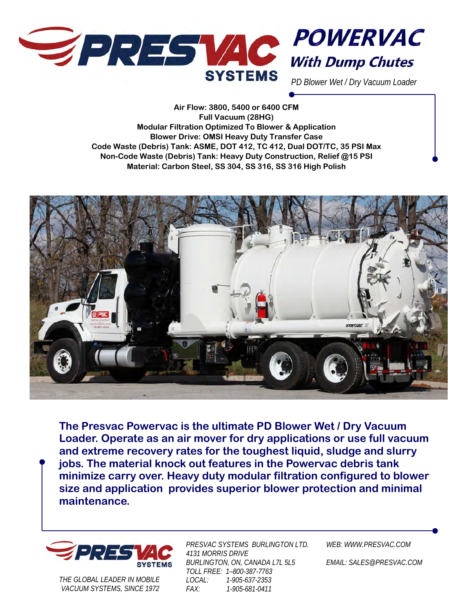



*PD Blower Wet / Dry Vacuum Loader* 

**Air Flow: 3800, 5400 or 6400 CFM Full Vacuum (28HG) Modular Filtration Optimized To Blower & Application Blower Drive: OMSI Heavy Duty Transfer Case Code Waste (Debris) Tank: ASME, DOT 412, TC 412, Dual DOT/TC, 35 PSI Max Non-Code Waste (Debris) Tank: Heavy Duty Construction, Relief @15 PSI Material: Carbon Steel, SS 304, SS 316, SS 316 High Polish** 



**The Presvac Powervac is the ultimate PD Blower Wet / Dry Vacuum Loader. Operate as an air mover for dry applications or use full vacuum and extreme recovery rates for the toughest liquid, sludge and slurry jobs. The material knock out features in the Powervac debris tank minimize carry over. Heavy duty modular filtration configured to blower size and application provides superior blower protection and minimal maintenance.** 



*THE GLOBAL LEADER IN MOBILE VACUUM SYSTEMS, SINCE 1972* 

*PRESVAC SYSTEMS BURLINGTON LTD. 4131 MORRIS DRIVE BURLINGTON, ON, CANADA L7L 5L5 TOLL FREE: 1–800-387-7763 LOCAL: 1-905-637-2353 FAX: 1-905-681-0411* 

*WEB: WWW.PRESVAC.COM* 

*EMAIL: SALES@PRESVAC.COM*